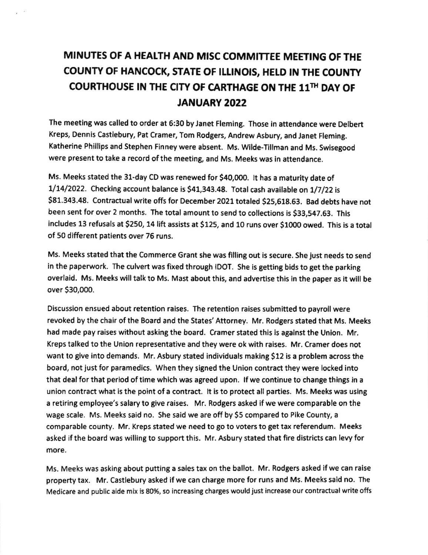## MINUTES OF A HEATTH AND MISC COMMITTEE MEETING OF THE COUNTY OF HANCOCK, STATE OF ILLINOIS, HELD IN THE COUNTY COURTHOUSE IN THE CITY OF CARTHAGE ON THE llfi DAY OF JANUARY 2022

The meeting was called to order at 6:30 by Janet Fleming. Those in attendance were Delbert Kreps, Dennis Castlebury, Pat Cramer, Tom Rodgers, Andrew Asbury, and Janet Fleming. Katherine Phillips and Stephen Finney were absent. Ms. Wilde-Tillman and Ms. Swisegood were present to take a record of the meeting, and Ms. Meeks was in attendance.

Ms. Meeks stated the 31-day CD was renewed for \$40,000. It has a maturity date of  $1/14/2022$ . Checking account balance is \$41,343.48. Total cash available on  $1/7/22$  is 581.343,48. contractual write offs for December 2021 totaled 525,618.63. Bad debts have not been sent for over 2 months. Ihe total amount to send to collections is 533,547.63. This includes 13 refusals at \$250, 14 lift assists at \$125, and 10 runs over \$1000 owed. This is a total of 50 different patients over 76 runs.

Ms. Meeks stated that the Commerce Grant she was filling out is secure. She just needs to send in the paperwork. The culvert was fixed through IDOT. She is getting bids to get the parking overlaid. Ms. Meeks will talk to Ms. Mast about this, and advertlse this in the paper as it will be over \$30,000.

Discussion ensued about retention raises. The retention raises submitted to payroll were revoked by the chair of the Board and the States' Attorney. Mr. Rodgers stated that Ms. Meeks had made pay raises without asking the board. Cramer stated this is against the Union. Mr. Kreps talked to the Union representative and they were ok with raises. Mr. Cramer does not want to give into demands. Mr. Asbury stated individuals making S12 is a problem across the board, not just for paramedlcs. When they signed the Union contract they were locked into that deal for that period of time which was agreed upon. lf we continue to change things in <sup>a</sup> union contract what is the point of a contract. lt is to protect all partles. Ms. Meeks was uslng a retiring employee's salary to give raises. Mr. Rodgers asked if we were comparable on the wage scale. Ms. Meeks said no. She said we are off by \$5 compared to Pike County, a comparable county. Mr. Kreps stated we need to go to voters to get tax referendum, Meeks asked if the board was willing to support this. Mr. Asbury stated that fire districts can levy for more.

Ms. Meeks was asking about putting a sales tax on the ballot. Mr. Rodgers asked if we can raise property tax. Mr. Castlebury asked if we can charge more for runs and Ms. Meeks said no. The Medicare and public aide mix is 8O%, so increasing charges would just increase our contractual write offs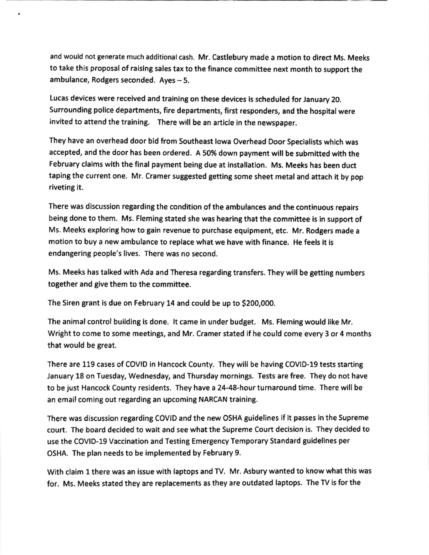and would not generate much additional cash. Mr. castlebury made a motion to direct Ms. Meeks to take this proposal of raislng sales tax to the finance committee next month to support the ambulance, Rodgers seconded.  $Ayes - 5$ .

Lucas devices were received and tralning on these devices is scheduled for January 20. Surrounding police departments, fire departments, first responders, and the hospital were invited to attend the training. There will be an article in the newspaper.

They have an overhead door bid from Southeast Iowa Overhead Door Specialists which was accepted, and the door has been ordered. A 50% down payment will be submitted with the February claims with the final payment being due at installation. Ms. Meeks has been duct taping the current one. Mr. Cramer suggested getting some sheet metal and attach it by pop riveting it.

There was discussion regarding the condition of the ambulances and the continuous repairs being done to them. Ms. Fleming stated she was hearing that the committee is in support of Ms. Meeks exploring how to gain revenue to purchase equipment, etc. Mr. Rodgers made <sup>a</sup> motion to buy a new ambulance to replace what we have with finance. He feels it is endangering people's lives. There was no second.

Ms. Meeks has talked with Ada and Theresa regarding transfers. They will be getting numbers together and give them to the committee.

The Siren grant is due on February 14 and could be up to S200,00O.

The animal control building is done. lt came in under budget. Ms. Fleming would like Mr. Wright to come to some meetings, and Mr. Cramer stated if he could come every 3 or 4 months that would be great.

There are 119 cases of COVID in Hancock County. They will be having COVID-19 tests starting January 18 on Tuesday, Wednesday, and Thursday mornings. Tests are free. They do not have to be just Hancock County residents. They have a 24-48-hour turnaround time. There will be an email coming out regarding an upcoming NARCAN training.

There was discussion regarding COVID and the new OSHA guidelines if it passes in the Supreme court. The board decided to wait and see what the Supreme Court decision is. They decided to use the COVID-19 Vaccination and Testing Emergenry Temporary Standard guidelines per OSHA. The plan needs to be implemented by February 9.

With claim 1 there was an issue with laptops and TV. Mr. Asbury wanted to know what this was for. Ms. Meeks stated they are replacements as they are outdated laptops. The TV is for the